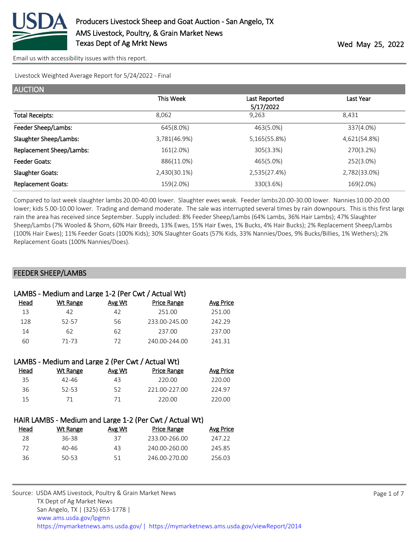

Livestock Weighted Average Report for 5/24/2022 - Final

| <b>AUCTION</b>            |              |               |              |
|---------------------------|--------------|---------------|--------------|
|                           | This Week    | Last Reported | Last Year    |
|                           |              | 5/17/2022     |              |
| <b>Total Receipts:</b>    | 8.062        | 9.263         | 8.431        |
| Feeder Sheep/Lambs:       | 645(8.0%)    | 463(5.0%)     | 337(4.0%)    |
| Slaughter Sheep/Lambs:    | 3,781(46.9%) | 5,165(55.8%)  | 4,621(54.8%) |
| Replacement Sheep/Lambs:  | 161(2.0%)    | 305(3.3%)     | 270(3.2%)    |
| Feeder Goats:             | 886(11.0%)   | 465(5.0%)     | 252(3.0%)    |
| <b>Slaughter Goats:</b>   | 2,430(30.1%) | 2,535(27.4%)  | 2,782(33.0%) |
| <b>Replacement Goats:</b> | 159(2.0%)    | 330(3.6%)     | 169(2.0%)    |

Compared to last week slaughter lambs 20.00-40.00 lower. Slaughter ewes weak. Feeder lambs 20.00-30.00 lower. Nannies 10.00-20.00 lower; kids 5.00-10.00 lower. Trading and demand moderate. The sale was interrupted several times by rain downpours. This is this first large rain the area has received since September. Supply included: 8% Feeder Sheep/Lambs (64% Lambs, 36% Hair Lambs); 47% Slaughter Sheep/Lambs (7% Wooled & Shorn, 60% Hair Breeds, 13% Ewes, 15% Hair Ewes, 1% Bucks, 4% Hair Bucks); 2% Replacement Sheep/Lambs (100% Hair Ewes); 11% Feeder Goats (100% Kids); 30% Slaughter Goats (57% Kids, 33% Nannies/Does, 9% Bucks/Billies, 1% Wethers); 2% Replacement Goats (100% Nannies/Does).

# FEEDER SHEEP/LAMBS

| LAMBS - Medium and Large 1-2 (Per Cwt / Actual Wt) |          |        |                    |           |  |  |
|----------------------------------------------------|----------|--------|--------------------|-----------|--|--|
| Head                                               | Wt Range | Avg Wt | <b>Price Range</b> | Avg Price |  |  |
| 13                                                 | 42       | 42     | 251.00             | 251.00    |  |  |
| 128                                                | 52-57    | 56     | 233.00-245.00      | 242.29    |  |  |
| 14                                                 | 62       | 62     | 237.00             | 237.00    |  |  |
| 60                                                 | 71-73    | 72     | 240.00-244.00      | 241.31    |  |  |
|                                                    |          |        |                    |           |  |  |

| LAMBS - Medium and Large 2 (Per Cwt / Actual Wt) |        |                    |           |  |  |  |
|--------------------------------------------------|--------|--------------------|-----------|--|--|--|
| Wt Range                                         | Avg Wt | <b>Price Range</b> | Avg Price |  |  |  |
| 42-46                                            | 43     | 220.00             | 220.00    |  |  |  |
| 52-53                                            | 52     | 221.00-227.00      | 224.97    |  |  |  |
| 71                                               | 71     | 220.00             | 220.00    |  |  |  |
|                                                  |        |                    |           |  |  |  |

| HAIR LAMBS - Medium and Large 1-2 (Per Cwt / Actual Wt) |          |        |                    |           |  |  |
|---------------------------------------------------------|----------|--------|--------------------|-----------|--|--|
| Head                                                    | Wt Range | Avg Wt | <b>Price Range</b> | Avg Price |  |  |
| 28                                                      | 36-38    | 37     | 233.00-266.00      | 247.22    |  |  |
| 72.                                                     | 40-46    | 43     | 240.00-260.00      | 245.85    |  |  |
| 36                                                      | 50-53    | 51     | 246.00-270.00      | 256.03    |  |  |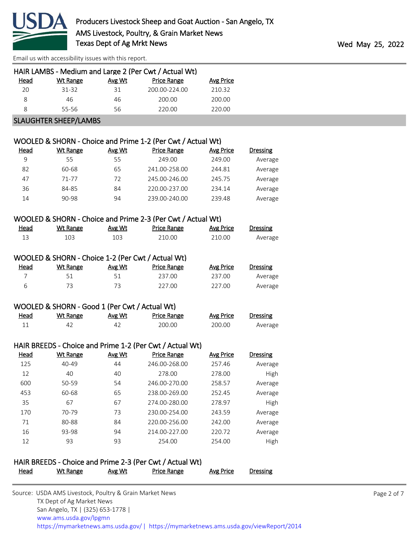

| HAIR LAMBS - Medium and Large 2 (Per Cwt / Actual Wt) |                              |        |               |                  |  |  |  |
|-------------------------------------------------------|------------------------------|--------|---------------|------------------|--|--|--|
| <b>Head</b>                                           | Wt Range                     | Avg Wt | Price Range   | <b>Avg Price</b> |  |  |  |
| 20                                                    | 31-32                        | 31     | 200.00-224.00 | 210.32           |  |  |  |
| 8                                                     | 46                           | 46     | 200.00        | 200.00           |  |  |  |
| 8                                                     | 55-56                        | 56     | 220.00        | 220.00           |  |  |  |
|                                                       | <b>SLAUGHTER SHEEP/LAMBS</b> |        |               |                  |  |  |  |

#### WOOLED & SHORN - Choice and Prime 1-2 (Per Cwt / Actual Wt)

| Head | Wt Range | Avg Wt | Price Range   | Avg Price | <b>Dressing</b> |
|------|----------|--------|---------------|-----------|-----------------|
| 9    | 55       | 55     | 249.00        | 249.00    | Average         |
| 82   | 60-68    | 65     | 241.00-258.00 | 244.81    | Average         |
| 47   | 71-77    | 72     | 245.00-246.00 | 245.75    | Average         |
| 36   | 84-85    | 84     | 220.00-237.00 | 234.14    | Average         |
| 14   | 90-98    | 94     | 239.00-240.00 | 239.48    | Average         |

#### WOOLED & SHORN - Choice and Prime 2-3 (Per Cwt / Actual Wt)

| <u>Head</u> | Wt Range | Avg Wt | Price Range | <b>Avg Price</b> | Dressing |
|-------------|----------|--------|-------------|------------------|----------|
|             |          |        | 210.00      | 210.00           | Average  |

|             | WOOLED & SHORN - Choice 1-2 (Per Cwt / Actual Wt) |        |                    |           |          |
|-------------|---------------------------------------------------|--------|--------------------|-----------|----------|
| <u>Head</u> | Wt Range                                          | Avg Wt | <b>Price Range</b> | Avg Price | Dressing |

|                          | 237.00 | 237.00 | Average |
|--------------------------|--------|--------|---------|
| $\overline{\phantom{a}}$ | 227.00 | 227.00 | Average |

### WOOLED & SHORN - Good 1 (Per Cwt / Actual Wt)

| <u>Head</u> | <b>Wt Range</b> | Avg Wt | <b>Price Range</b> | <b>Avg Price</b> | Dressing |
|-------------|-----------------|--------|--------------------|------------------|----------|
|             |                 | Л.     | 200.00             | 200.00           | Average  |

# HAIR BREEDS - Choice and Prime 1-2 (Per Cwt / Actual Wt)

| Head | Wt Range  | Avg Wt | <b>Price Range</b> | <b>Avg Price</b> | <b>Dressing</b> |
|------|-----------|--------|--------------------|------------------|-----------------|
| 125  | $40 - 49$ | 44     | 246.00-268.00      | 257.46           | Average         |
| 12   | 40        | 40     | 278.00             | 278.00           | High            |
| 600  | 50-59     | 54     | 246.00-270.00      | 258.57           | Average         |
| 453  | 60-68     | 65     | 238.00-269.00      | 252.45           | Average         |
| 35   | 67        | 67     | 274.00-280.00      | 278.97           | High            |
| 170  | 70-79     | 73     | 230.00-254.00      | 243.59           | Average         |
| 71   | 80-88     | 84     | 220.00-256.00      | 242.00           | Average         |
| 16   | 93-98     | 94     | 214.00-227.00      | 220.72           | Average         |
| 12   | 93        | 93     | 254.00             | 254.00           | High            |

# HAIR BREEDS - Choice and Prime 2-3 (Per Cwt / Actual Wt)

|  | Head | Wt Range | Avg Wt | <b>Price Range</b> | Avg Price | <b>Dressing</b> |
|--|------|----------|--------|--------------------|-----------|-----------------|
|--|------|----------|--------|--------------------|-----------|-----------------|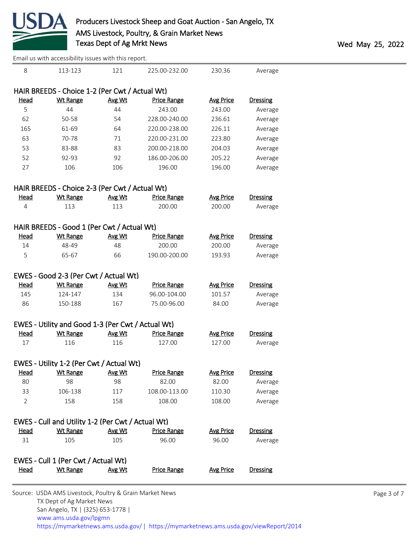

|                | Email us with accessibility issues with this report. |        |                    |                  |                 |  |  |  |
|----------------|------------------------------------------------------|--------|--------------------|------------------|-----------------|--|--|--|
| 8              | 113-123                                              | 121    | 225.00-232.00      | 230.36           | Average         |  |  |  |
|                | HAIR BREEDS - Choice 1-2 (Per Cwt / Actual Wt)       |        |                    |                  |                 |  |  |  |
| Head           | <b>Wt Range</b>                                      | Avg Wt | <b>Price Range</b> | <b>Avg Price</b> | <b>Dressing</b> |  |  |  |
| 5              | 44                                                   | 44     | 243.00             | 243.00           | Average         |  |  |  |
| 62             | 50-58                                                | 54     | 228.00-240.00      | 236.61           | Average         |  |  |  |
| 165            | 61-69                                                | 64     | 220.00-238.00      | 226.11           | Average         |  |  |  |
| 63             | 70-78                                                | 71     | 220.00-231.00      | 223.80           | Average         |  |  |  |
| 53             | 83-88                                                | 83     | 200.00-218.00      | 204.03           | Average         |  |  |  |
| 52             | 92-93                                                | 92     | 186.00-206.00      | 205.22           | Average         |  |  |  |
| 27             | 106                                                  | 106    | 196.00             | 196.00           | Average         |  |  |  |
|                | HAIR BREEDS - Choice 2-3 (Per Cwt / Actual Wt)       |        |                    |                  |                 |  |  |  |
| Head           | <b>Wt Range</b>                                      | Avg Wt | <b>Price Range</b> | <b>Avg Price</b> | <b>Dressing</b> |  |  |  |
| $\overline{4}$ | 113                                                  | 113    | 200.00             | 200.00           | Average         |  |  |  |
|                | HAIR BREEDS - Good 1 (Per Cwt / Actual Wt)           |        |                    |                  |                 |  |  |  |
| <b>Head</b>    | <b>Wt Range</b>                                      | Avg Wt | <b>Price Range</b> | <b>Avg Price</b> | <b>Dressing</b> |  |  |  |
| 14             | 48-49                                                | 48     | 200.00             | 200.00           | Average         |  |  |  |
| 5              | 65-67                                                | 66     | 190.00-200.00      | 193.93           | Average         |  |  |  |
|                | EWES - Good 2-3 (Per Cwt / Actual Wt)                |        |                    |                  |                 |  |  |  |
| <u>Head</u>    | <b>Wt Range</b>                                      | Avg Wt | <b>Price Range</b> | <b>Avg Price</b> | <b>Dressing</b> |  |  |  |
| 145            | 124-147                                              | 134    | 96.00-104.00       | 101.57           | Average         |  |  |  |
| 86             | 150-188                                              | 167    | 75.00-96.00        | 84.00            | Average         |  |  |  |
|                | EWES - Utility and Good 1-3 (Per Cwt / Actual Wt)    |        |                    |                  |                 |  |  |  |
| <b>Head</b>    | <b>Wt Range</b>                                      | Avg Wt | <b>Price Range</b> | <b>Avg Price</b> | <b>Dressing</b> |  |  |  |
| 17             | 116                                                  | 116    | 127.00             | 127.00           | Average         |  |  |  |
|                | EWES - Utility 1-2 (Per Cwt / Actual Wt)             |        |                    |                  |                 |  |  |  |
| <u>Head</u>    | <b>Wt Range</b>                                      | Avg Wt | <b>Price Range</b> | <b>Avg Price</b> | <b>Dressing</b> |  |  |  |
| 80             | 98                                                   | 98     | 82.00              | 82.00            | Average         |  |  |  |
| 33             | 106-138                                              | 117    | 108.00-113.00      | 110.30           | Average         |  |  |  |
| $\overline{2}$ | 158                                                  | 158    | 108.00             | 108.00           | Average         |  |  |  |
|                | EWES - Cull and Utility 1-2 (Per Cwt / Actual Wt)    |        |                    |                  |                 |  |  |  |
| Head           | <b>Wt Range</b>                                      | Avg Wt | <b>Price Range</b> | <b>Avg Price</b> | <b>Dressing</b> |  |  |  |
| 31             | 105                                                  | 105    | 96.00              | 96.00            | Average         |  |  |  |
|                | EWES - Cull 1 (Per Cwt / Actual Wt)                  |        |                    |                  |                 |  |  |  |
| <b>Head</b>    | <b>Wt Range</b>                                      | Avg Wt | <b>Price Range</b> | <b>Avg Price</b> | <b>Dressing</b> |  |  |  |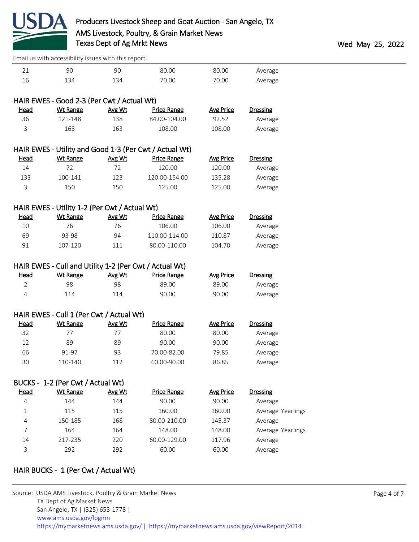

| 21             | 90                                                     | 90            | 80.00                                                  | 80.00            | Average           |  |  |  |  |
|----------------|--------------------------------------------------------|---------------|--------------------------------------------------------|------------------|-------------------|--|--|--|--|
| 16             | 134                                                    | 134           | 70.00                                                  | 70.00            | Average           |  |  |  |  |
|                |                                                        |               |                                                        |                  |                   |  |  |  |  |
|                | HAIR EWES - Good 2-3 (Per Cwt / Actual Wt)             |               |                                                        |                  |                   |  |  |  |  |
| Head           | <b>Wt Range</b>                                        | Avg Wt        | <b>Price Range</b>                                     | <b>Avg Price</b> | <b>Dressing</b>   |  |  |  |  |
| 36             | 121-148                                                | 138           | 84.00-104.00                                           | 92.52            | Average           |  |  |  |  |
| 3              | 163                                                    | 163           | 108.00                                                 | 108.00           | Average           |  |  |  |  |
|                |                                                        |               |                                                        |                  |                   |  |  |  |  |
|                |                                                        |               | HAIR EWES - Utility and Good 1-3 (Per Cwt / Actual Wt) |                  |                   |  |  |  |  |
| <b>Head</b>    | <b>Wt Range</b>                                        | Avg Wt        | <b>Price Range</b>                                     | <b>Avg Price</b> | <b>Dressing</b>   |  |  |  |  |
| $14\,$         | 72                                                     | 72            | 120.00                                                 | 120.00           | Average           |  |  |  |  |
| 133            | 100-141                                                | 123           | 120.00-154.00                                          | 135.28           | Average           |  |  |  |  |
| 3              | 150                                                    | 150           | 125.00                                                 | 125.00           | Average           |  |  |  |  |
|                |                                                        |               |                                                        |                  |                   |  |  |  |  |
|                | HAIR EWES - Utility 1-2 (Per Cwt / Actual Wt)          |               |                                                        |                  |                   |  |  |  |  |
| <b>Head</b>    | <b>Wt Range</b>                                        | Avg Wt        | <b>Price Range</b>                                     | <b>Avg Price</b> | <b>Dressing</b>   |  |  |  |  |
| 10             | 76                                                     | 76            | 106.00                                                 | 106.00           | Average           |  |  |  |  |
| 69             | 93-98                                                  | 94            | 110.00-114.00                                          | 110.87           | Average           |  |  |  |  |
| 91             | 107-120                                                | 111           | 80.00-110.00                                           | 104.70           | Average           |  |  |  |  |
|                |                                                        |               |                                                        |                  |                   |  |  |  |  |
|                | HAIR EWES - Cull and Utility 1-2 (Per Cwt / Actual Wt) |               |                                                        |                  |                   |  |  |  |  |
| <b>Head</b>    | <b>Wt Range</b>                                        | <u>Avg Wt</u> | <b>Price Range</b>                                     | <b>Avg Price</b> | <b>Dressing</b>   |  |  |  |  |
| $\overline{2}$ | 98                                                     | 98            | 89.00                                                  | 89.00            | Average           |  |  |  |  |
| 4              | 114                                                    | 114           | 90.00                                                  | 90.00            | Average           |  |  |  |  |
|                |                                                        |               |                                                        |                  |                   |  |  |  |  |
|                | HAIR EWES - Cull 1 (Per Cwt / Actual Wt)               |               |                                                        |                  |                   |  |  |  |  |
| <b>Head</b>    | <b>Wt Range</b>                                        | Avg Wt        | <b>Price Range</b>                                     | <b>Avg Price</b> | <b>Dressing</b>   |  |  |  |  |
| 32             | 77                                                     | 77            | 80.00                                                  | 80.00            | Average           |  |  |  |  |
| 12             | 89                                                     | 89            | 90.00                                                  | 90.00            | Average           |  |  |  |  |
| 66             | 91-97                                                  | 93            | 70.00-82.00                                            | 79.85            | Average           |  |  |  |  |
| 30             | 110-140                                                | 112           | 60.00-90.00                                            | 86.85            | Average           |  |  |  |  |
|                |                                                        |               |                                                        |                  |                   |  |  |  |  |
|                | BUCKS - 1-2 (Per Cwt / Actual Wt)                      |               |                                                        |                  |                   |  |  |  |  |
| Head           | <b>Wt Range</b>                                        | Avg Wt        | <b>Price Range</b>                                     | <b>Avg Price</b> | <b>Dressing</b>   |  |  |  |  |
| 4              | 144                                                    | 144           | 90.00                                                  | 90.00            | Average           |  |  |  |  |
| $\mathbf 1$    | 115                                                    | 115           | 160.00                                                 | 160.00           | Average Yearlings |  |  |  |  |
| 4              | 150-185                                                | 168           | 80.00-210.00                                           | 145.37           | Average           |  |  |  |  |
| 7              | 164                                                    | 164           | 148.00                                                 | 148.00           | Average Yearlings |  |  |  |  |
| 14             | 217-235                                                | 220           | 60.00-129.00                                           | 117.96           | Average           |  |  |  |  |
| 3              | 292                                                    | 292           | 60.00                                                  | 60.00            | Average           |  |  |  |  |
|                |                                                        |               |                                                        |                  |                   |  |  |  |  |

# HAIR BUCKS - 1 (Per Cwt / Actual Wt)

| https://mymarketnews.ams.usda.gov/   https://mymarketnews.ams.usda.gov/viewReport/2014 |
|----------------------------------------------------------------------------------------|
|                                                                                        |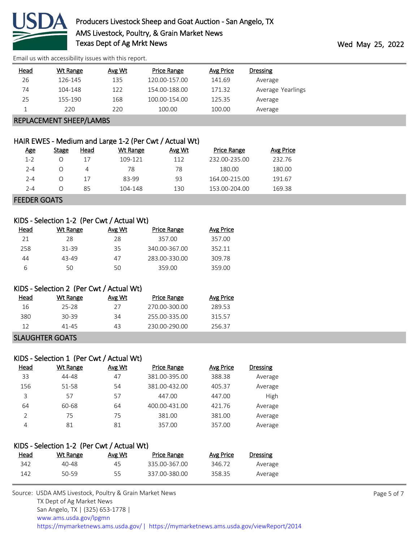

| <b>Head</b>             | Wt Range | Avg Wt | Price Range   | Avg Price | <b>Dressing</b>   |  |
|-------------------------|----------|--------|---------------|-----------|-------------------|--|
| 26                      | 126-145  | 135    | 120.00-157.00 | 141.69    | Average           |  |
| 74                      | 104-148  | 122    | 154.00-188.00 | 171.32    | Average Yearlings |  |
| 25                      | 155-190  | 168    | 100.00-154.00 | 125.35    | Average           |  |
|                         | 220      | 220    | 100.00        | 100.00    | Average           |  |
| REPLACEMENT SHEEP/LAMBS |          |        |               |           |                   |  |

# HAIR EWES - Medium and Large 1-2 (Per Cwt / Actual Wt)

| <u>Age</u> | Stage | Head | Wt Range | Avg Wt | <b>Price Range</b> | Avg Price |
|------------|-------|------|----------|--------|--------------------|-----------|
| $1 - 2$    | Ω     | 17   | 109-121  | 112    | 232.00-235.00      | 232.76    |
| $2 - 4$    | 0     | 4    | 78       | 78     | 180.00             | 180.00    |
| $2 - 4$    | 0     | 17   | 83-99    | 93     | 164.00-215.00      | 191.67    |
| $2 - 4$    | 0     | 85   | 104-148  | 130    | 153.00-204.00      | 169.38    |
|            |       |      |          |        |                    |           |

FEEDER GOATS

# KIDS - Selection 1-2 (Per Cwt / Actual Wt)

| Head | Wt Range | Avg Wt | Price Range   | Avg Price |
|------|----------|--------|---------------|-----------|
| 21   | 28       | 28     | 357.00        | 357.00    |
| 258  | 31-39    | 35     | 340.00-367.00 | 352.11    |
| 44   | 43-49    | 47     | 283.00-330.00 | 309.78    |
| 6    | 50       | 50     | 359.00        | 359.00    |

# KIDS - Selection 2 (Per Cwt / Actual Wt)

| Head | Wt Range         | Avg Wt | <b>Price Range</b> | Avg Price |
|------|------------------|--------|--------------------|-----------|
| 16   | 25-28            | 27     | 270.00-300.00      | 289.53    |
| 380  | 30-39            | 34     | 255.00-335.00      | 315 57    |
| 12   | 41-45            | 43     | 230.00-290.00      | 256.37    |
|      | ---------------- |        |                    |           |

#### SLAUGHTER GOATS

|      | KIDS - Selection 1 (Per Cwt / Actual Wt) |        |                    |                  |                 |
|------|------------------------------------------|--------|--------------------|------------------|-----------------|
| Head | Wt Range                                 | Avg Wt | <b>Price Range</b> | <b>Avg Price</b> | <b>Dressing</b> |
| 33   | 44-48                                    | 47     | 381.00-395.00      | 388.38           | Average         |
| 156  | 51-58                                    | 54     | 381.00-432.00      | 405.37           | Average         |
| 3    | 57                                       | 57     | 447.00             | 447.00           | High            |
| 64   | 60-68                                    | 64     | 400.00-431.00      | 421.76           | Average         |
| C    | 75                                       | 75     | 381.00             | 381.00           | Average         |
| 4    | 81                                       | 81     | 357.00             | 357.00           | Average         |

### KIDS - Selection 1-2 (Per Cwt / Actual Wt)

| <u>Head</u> | <u>Wt Range</u> | Avg Wt | Price Range   | Avg Price | <b>Dressing</b> |
|-------------|-----------------|--------|---------------|-----------|-----------------|
| 342         | 40-48           | 45     | 335.00-367.00 | 346.72    | Average         |
| 142         | 50-59           | 55     | 337.00-380.00 | 358.35    | Average         |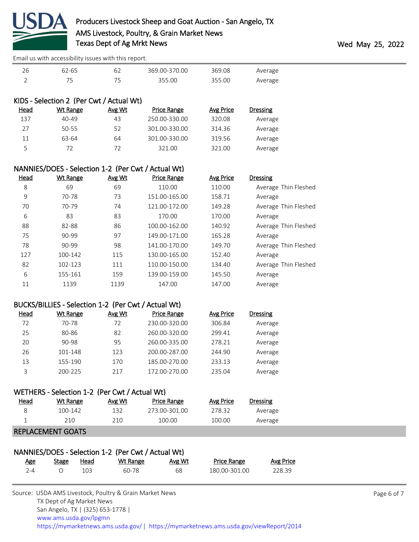

| 62-65 | 369.00-370.00 | 369.08 | Average |
|-------|---------------|--------|---------|
|       | 355.00        | 355.00 | Average |

|             | KIDS - Selection 2 (Per Cwt / Actual Wt) |        |               |           |                 |
|-------------|------------------------------------------|--------|---------------|-----------|-----------------|
| <u>Head</u> | Wt Range                                 | Avg Wt | Price Range   | Avg Price | <b>Dressing</b> |
| 137         | $40 - 49$                                | 43     | 250.00-330.00 | 320.08    | Average         |
| 27          | 50-55                                    | 52     | 301.00-330.00 | 314.36    | Average         |
| 11          | 63-64                                    | 64     | 301.00-330.00 | 319.56    | Average         |
| ς           | 72                                       | 72     | 321.00        | 321.00    | Average         |

| NANNIES/DOES - Selection 1-2 (Per Cwt / Actual Wt) |                 |        |                    |                  |                      |
|----------------------------------------------------|-----------------|--------|--------------------|------------------|----------------------|
| <u>Head</u>                                        | <b>Wt Range</b> | Avg Wt | <b>Price Range</b> | <b>Avg Price</b> | <b>Dressing</b>      |
| 8                                                  | 69              | 69     | 110.00             | 110.00           | Average Thin Fleshed |
| 9                                                  | 70-78           | 73     | 151.00-165.00      | 158.71           | Average              |
| 70                                                 | 70-79           | 74     | 121.00-172.00      | 149.28           | Average Thin Fleshed |
| 6                                                  | 83              | 83     | 170.00             | 170.00           | Average              |
| 88                                                 | 82-88           | 86     | 100.00-162.00      | 140.92           | Average Thin Fleshed |
| 75                                                 | 90-99           | 97     | 149.00-171.00      | 165.28           | Average              |
| 78                                                 | 90-99           | 98     | 141.00-170.00      | 149.70           | Average Thin Fleshed |
| 127                                                | 100-142         | 115    | 130.00-165.00      | 152.40           | Average              |
| 82                                                 | 102-123         | 111    | 110.00-150.00      | 134.40           | Average Thin Fleshed |
| 6                                                  | 155-161         | 159    | 139.00-159.00      | 145.50           | Average              |
| 11                                                 | 1139            | 1139   | 147.00             | 147.00           | Average              |
|                                                    |                 |        |                    |                  |                      |

### BUCKS/BILLIES - Selection 1-2 (Per Cwt / Actual Wt)

| Head | Wt Range | Avg Wt | <b>Price Range</b> | Avg Price | Dressing |
|------|----------|--------|--------------------|-----------|----------|
| 72   | 70-78    | 72     | 230.00-320.00      | 306.84    | Average  |
| 25   | 80-86    | 82     | 260.00-320.00      | 299.41    | Average  |
| 20   | 90-98    | 95     | 260.00-335.00      | 278.21    | Average  |
| 26   | 101-148  | 123    | 200.00-287.00      | 244.90    | Average  |
| 13   | 155-190  | 170    | 185.00-270.00      | 233.13    | Average  |
| ς    | 200-225  | 217    | 172.00-270.00      | 235.04    | Average  |

# WETHERS - Selection 1-2 (Per Cwt / Actual Wt)

| <u>Head</u> | Wt Range | Avg Wt | <b>Price Range</b> | Avg Price | Dressing |
|-------------|----------|--------|--------------------|-----------|----------|
|             | 100-142  | 132    | 273.00-301.00      | 278.32    | Average  |
|             | 210      | 21 በ   | 100.00             | 100.00    | Average  |
|             | $P = 1$  |        |                    |           |          |

#### REPLACEMENT GOATS

|     |       |      | NANNIES/DOES - Selection 1-2 (Per Cwt / Actual Wt) |        |                    |           |
|-----|-------|------|----------------------------------------------------|--------|--------------------|-----------|
| Age | Stage | Head | Wt Range                                           | Avg Wt | <b>Price Range</b> | Avg Price |
| 7-4 |       | 103  | 60-78                                              | 68     | 180.00-301.00      | 228.39    |